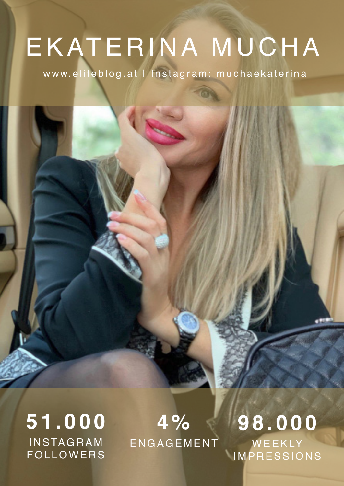# EKATERINA MUCHA

www.eliteblog.at | Instagram: muchaekaterina

**51.000 INSTAGRAM** FOLLOWERS

**4 %** ENGAGEMENT

**98.000** WEEKLY IMPRESSIONS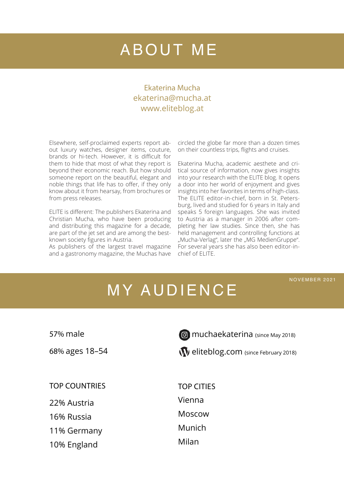### ABOUT ME

#### Ekaterina Mucha ekaterina@mucha.at www.eliteblog.at

Elsewhere, self-proclaimed experts report about luxury watches, designer items, couture, brands or hi-tech. However, it is difficult for them to hide that most of what they report is beyond their economic reach. But how should someone report on the beautiful, elegant and noble things that life has to offer, if they only know about it from hearsay, from brochures or from press releases.

ELITE is different: The publishers Ekaterina and Christian Mucha, who have been producing and distributing this magazine for a decade, are part of the jet set and are among the bestknown society figures in Austria.

As publishers of the largest travel magazine and a gastronomy magazine, the Muchas have

circled the globe far more than a dozen times on their countless trips, flights and cruises.

Ekaterina Mucha, academic aesthete and critical source of information, now gives insights into your research with the ELITE blog. It opens a door into her world of enjoyment and gives insights into her favorites in terms of high-class. The ELITE editor-in-chief, born in St. Petersburg, lived and studied for 6 years in Italy and speaks 5 foreign languages. She was invited to Austria as a manager in 2006 after completing her law studies. Since then, she has held management and controlling functions at "Mucha-Verlag", later the "MG MedienGruppe". For several years she has also been editor-inchief of ELITE.

#### NOVEMBER 2021

### MY AUDIENCE

57% male

68% ages 18–54

**muchaekaterina** (since May 2018)

W eliteblog.com (since February 2018)

TOP COUNTRIES

22% Austria

16% Russia

11% Germany

10% England

TOP CITIES Vienna Moscow Munich Milan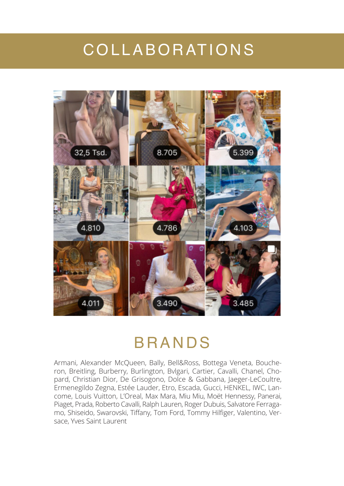#### COLLABORATIONS



#### BRANDS

Armani, Alexander McQueen, Bally, Bell&Ross, Bottega Veneta, Boucheron, Breitling, Burberry, Burlington, Bvlgari, Cartier, Cavalli, Chanel, Chopard, Christian Dior, De Grisogono, Dolce & Gabbana, Jaeger-LeCoultre, Ermenegildo Zegna, Estée Lauder, Etro, Escada, Gucci, HENKEL, IWC, Lancome, Louis Vuitton, L'Oreal, Max Mara, Miu Miu, Moët Hennessy, Panerai, Piaget, Prada, Roberto Cavalli, Ralph Lauren, Roger Dubuis, Salvatore Ferragamo, Shiseido, Swarovski, Tiffany, Tom Ford, Tommy Hilfiger, Valentino, Versace, Yves Saint Laurent